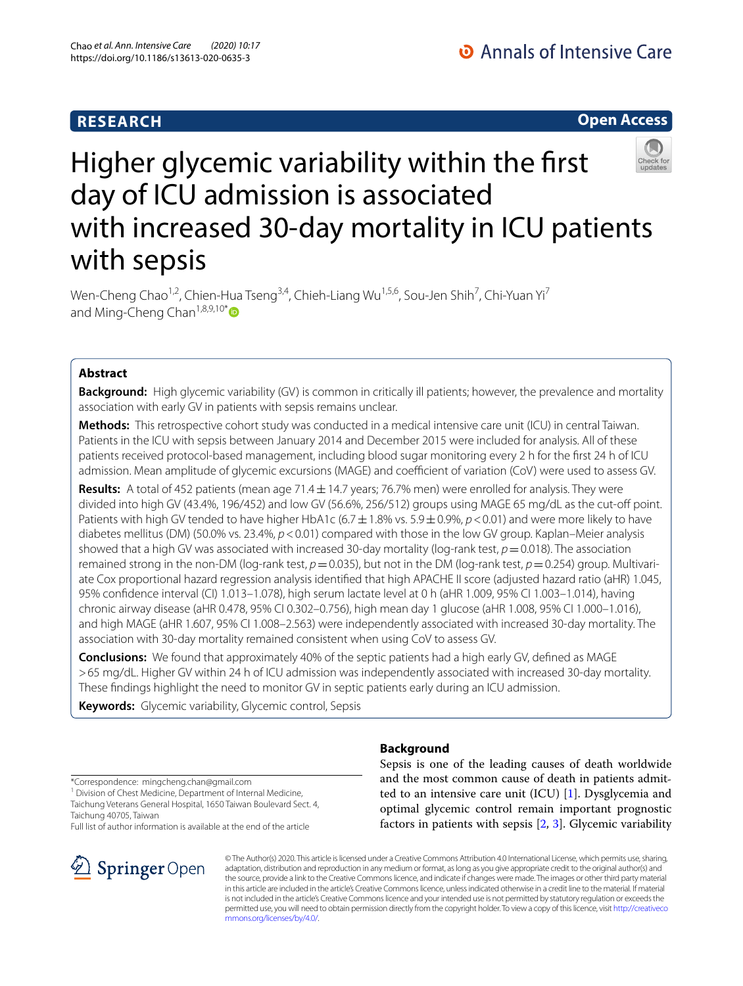# **RESEARCH**

# **Open Access**

# Higher glycemic variability within the frst day of ICU admission is associated with increased 30-day mortality in ICU patients with sepsis

Wen-Cheng Chao<sup>1,2</sup>, Chien-Hua Tseng<sup>3,4</sup>, Chieh-Liang Wu<sup>1,5,6</sup>, Sou-Jen Shih<sup>7</sup>, Chi-Yuan Yi<sup>7</sup> and Ming-Cheng Chan<sup>1,8,9,10[\\*](http://orcid.org/0000-0002-4407-8841)</sup>

# **Abstract**

**Background:** High glycemic variability (GV) is common in critically ill patients; however, the prevalence and mortality association with early GV in patients with sepsis remains unclear.

**Methods:** This retrospective cohort study was conducted in a medical intensive care unit (ICU) in central Taiwan. Patients in the ICU with sepsis between January 2014 and December 2015 were included for analysis. All of these patients received protocol-based management, including blood sugar monitoring every 2 h for the first 24 h of ICU admission. Mean amplitude of glycemic excursions (MAGE) and coefficient of variation (CoV) were used to assess GV.

**Results:** A total of 452 patients (mean age 71.4±14.7 years; 76.7% men) were enrolled for analysis. They were divided into high GV (43.4%, 196/452) and low GV (56.6%, 256/512) groups using MAGE 65 mg/dL as the cut-of point. Patients with high GV tended to have higher HbA1c ( $6.7\pm1.8\%$  vs.  $5.9\pm0.9\%$ ,  $p<0.01$ ) and were more likely to have diabetes mellitus (DM) (50.0% vs. 23.4%,  $p < 0.01$ ) compared with those in the low GV group. Kaplan–Meier analysis showed that a high GV was associated with increased 30-day mortality (log-rank test,  $p = 0.018$ ). The association remained strong in the non-DM (log-rank test,  $p = 0.035$ ), but not in the DM (log-rank test,  $p = 0.254$ ) group. Multivariate Cox proportional hazard regression analysis identifed that high APACHE II score (adjusted hazard ratio (aHR) 1.045, 95% confdence interval (CI) 1.013–1.078), high serum lactate level at 0 h (aHR 1.009, 95% CI 1.003–1.014), having chronic airway disease (aHR 0.478, 95% CI 0.302–0.756), high mean day 1 glucose (aHR 1.008, 95% CI 1.000–1.016), and high MAGE (aHR 1.607, 95% CI 1.008–2.563) were independently associated with increased 30-day mortality. The association with 30-day mortality remained consistent when using CoV to assess GV.

**Conclusions:** We found that approximately 40% of the septic patients had a high early GV, defned as MAGE >65 mg/dL. Higher GV within 24 h of ICU admission was independently associated with increased 30-day mortality. These fndings highlight the need to monitor GV in septic patients early during an ICU admission.

**Keywords:** Glycemic variability, Glycemic control, Sepsis

\*Correspondence: mingcheng.chan@gmail.com

<sup>1</sup> Division of Chest Medicine, Department of Internal Medicine, Taichung Veterans General Hospital, 1650 Taiwan Boulevard Sect. 4, Taichung 40705, Taiwan

Full list of author information is available at the end of the article



# **Background**

Sepsis is one of the leading causes of death worldwide and the most common cause of death in patients admitted to an intensive care unit (ICU) [\[1](#page-8-0)]. Dysglycemia and optimal glycemic control remain important prognostic factors in patients with sepsis [\[2](#page-8-1), [3](#page-8-2)]. Glycemic variability

© The Author(s) 2020. This article is licensed under a Creative Commons Attribution 4.0 International License, which permits use, sharing, adaptation, distribution and reproduction in any medium or format, as long as you give appropriate credit to the original author(s) and the source, provide a link to the Creative Commons licence, and indicate if changes were made. The images or other third party material in this article are included in the article's Creative Commons licence, unless indicated otherwise in a credit line to the material. If material is not included in the article's Creative Commons licence and your intended use is not permitted by statutory regulation or exceeds the permitted use, you will need to obtain permission directly from the copyright holder. To view a copy of this licence, visit [http://creativeco](http://creativecommons.org/licenses/by/4.0/) [mmons.org/licenses/by/4.0/.](http://creativecommons.org/licenses/by/4.0/)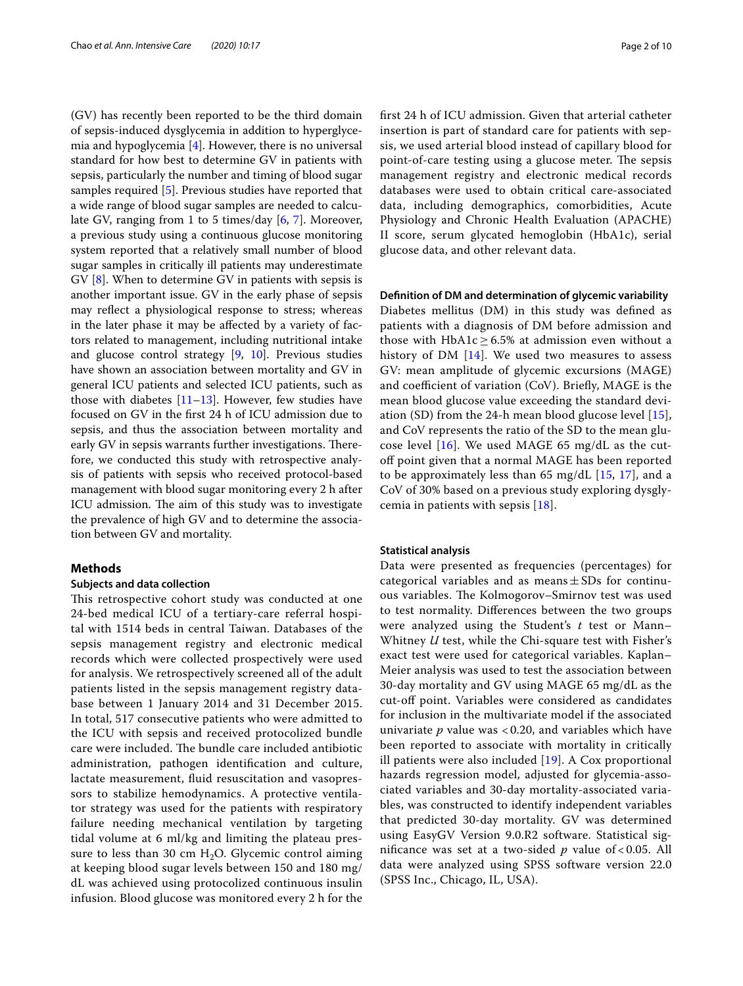(GV) has recently been reported to be the third domain of sepsis-induced dysglycemia in addition to hyperglycemia and hypoglycemia [\[4](#page-8-3)]. However, there is no universal standard for how best to determine GV in patients with sepsis, particularly the number and timing of blood sugar samples required [[5\]](#page-8-4). Previous studies have reported that a wide range of blood sugar samples are needed to calculate GV, ranging from 1 to 5 times/day [[6,](#page-8-5) [7](#page-8-6)]. Moreover, a previous study using a continuous glucose monitoring system reported that a relatively small number of blood sugar samples in critically ill patients may underestimate GV [[8\]](#page-8-7). When to determine GV in patients with sepsis is another important issue. GV in the early phase of sepsis may refect a physiological response to stress; whereas in the later phase it may be afected by a variety of factors related to management, including nutritional intake and glucose control strategy [\[9](#page-8-8), [10\]](#page-8-9). Previous studies have shown an association between mortality and GV in general ICU patients and selected ICU patients, such as those with diabetes  $[11–13]$  $[11–13]$  $[11–13]$  $[11–13]$ . However, few studies have focused on GV in the frst 24 h of ICU admission due to sepsis, and thus the association between mortality and early GV in sepsis warrants further investigations. Therefore, we conducted this study with retrospective analysis of patients with sepsis who received protocol-based management with blood sugar monitoring every 2 h after ICU admission. The aim of this study was to investigate the prevalence of high GV and to determine the association between GV and mortality.

#### **Methods**

#### **Subjects and data collection**

This retrospective cohort study was conducted at one 24-bed medical ICU of a tertiary-care referral hospital with 1514 beds in central Taiwan. Databases of the sepsis management registry and electronic medical records which were collected prospectively were used for analysis. We retrospectively screened all of the adult patients listed in the sepsis management registry database between 1 January 2014 and 31 December 2015. In total, 517 consecutive patients who were admitted to the ICU with sepsis and received protocolized bundle care were included. The bundle care included antibiotic administration, pathogen identifcation and culture, lactate measurement, fuid resuscitation and vasopressors to stabilize hemodynamics. A protective ventilator strategy was used for the patients with respiratory failure needing mechanical ventilation by targeting tidal volume at 6 ml/kg and limiting the plateau pressure to less than 30 cm  $H_2O$ . Glycemic control aiming at keeping blood sugar levels between 150 and 180 mg/ dL was achieved using protocolized continuous insulin infusion. Blood glucose was monitored every 2 h for the frst 24 h of ICU admission. Given that arterial catheter insertion is part of standard care for patients with sepsis, we used arterial blood instead of capillary blood for point-of-care testing using a glucose meter. The sepsis management registry and electronic medical records databases were used to obtain critical care-associated data, including demographics, comorbidities, Acute Physiology and Chronic Health Evaluation (APACHE) II score, serum glycated hemoglobin (HbA1c), serial glucose data, and other relevant data.

#### **Defnition of DM and determination of glycemic variability**

Diabetes mellitus (DM) in this study was defned as patients with a diagnosis of DM before admission and those with HbA1c  $\geq$  6.5% at admission even without a history of DM [\[14](#page-8-12)]. We used two measures to assess GV: mean amplitude of glycemic excursions (MAGE) and coefficient of variation (CoV). Briefly, MAGE is the mean blood glucose value exceeding the standard deviation (SD) from the 24-h mean blood glucose level [[15](#page-8-13)], and CoV represents the ratio of the SD to the mean glucose level  $[16]$  $[16]$ . We used MAGE 65 mg/dL as the cutoff point given that a normal MAGE has been reported to be approximately less than 65 mg/dL  $[15, 17]$  $[15, 17]$  $[15, 17]$  $[15, 17]$ , and a CoV of 30% based on a previous study exploring dysglycemia in patients with sepsis [[18\]](#page-8-16).

#### **Statistical analysis**

Data were presented as frequencies (percentages) for categorical variables and as means $\pm$ SDs for continuous variables. The Kolmogorov–Smirnov test was used to test normality. Diferences between the two groups were analyzed using the Student's *t* test or Mann– Whitney *U* test, while the Chi-square test with Fisher's exact test were used for categorical variables. Kaplan– Meier analysis was used to test the association between 30-day mortality and GV using MAGE 65 mg/dL as the cut-off point. Variables were considered as candidates for inclusion in the multivariate model if the associated univariate *p* value was < 0.20, and variables which have been reported to associate with mortality in critically ill patients were also included [[19](#page-8-17)]. A Cox proportional hazards regression model, adjusted for glycemia-associated variables and 30-day mortality-associated variables, was constructed to identify independent variables that predicted 30-day mortality. GV was determined using EasyGV Version 9.0.R2 software. Statistical signifcance was set at a two-sided *p* value of < 0.05. All data were analyzed using SPSS software version 22.0 (SPSS Inc., Chicago, IL, USA).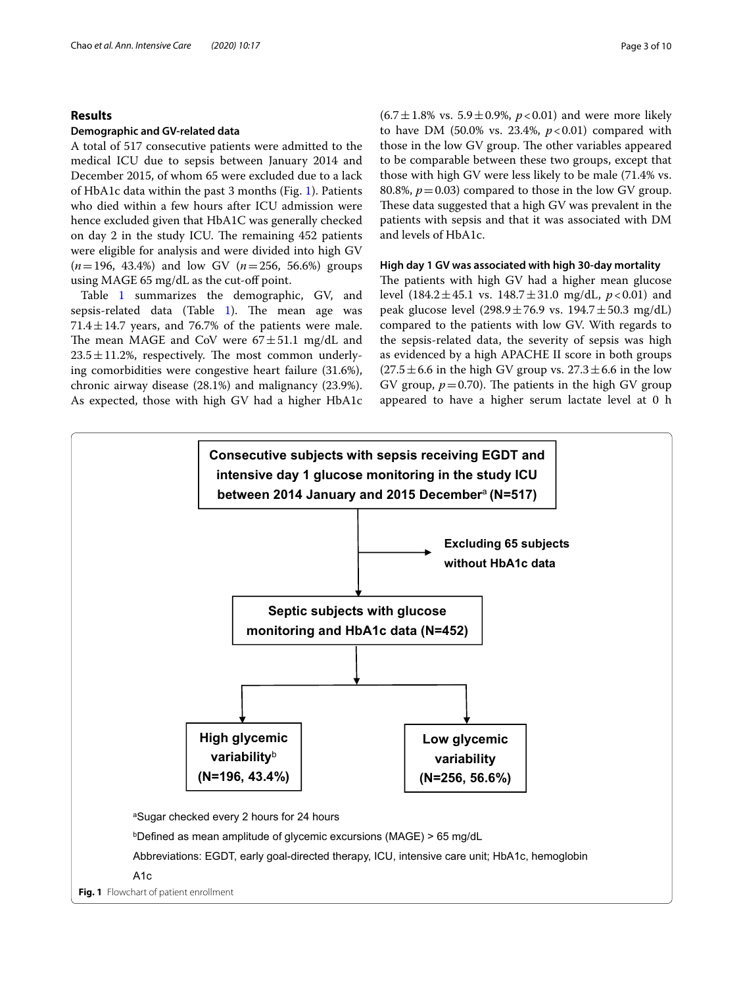#### **Results**

#### **Demographic and GV‑related data**

A total of 517 consecutive patients were admitted to the medical ICU due to sepsis between January 2014 and December 2015, of whom 65 were excluded due to a lack of HbA1c data within the past 3 months (Fig. [1\)](#page-2-0). Patients who died within a few hours after ICU admission were hence excluded given that HbA1C was generally checked on day 2 in the study ICU. The remaining 452 patients were eligible for analysis and were divided into high GV (*n*=196, 43.4%) and low GV (*n*=256, 56.6%) groups using MAGE 65 mg/dL as the cut-off point.

Table [1](#page-3-0) summarizes the demographic, GV, and sepsis-related data (Table  $1$ ). The mean age was  $71.4 \pm 14.7$  years, and 76.7% of the patients were male. The mean MAGE and CoV were  $67 \pm 51.1$  mg/dL and  $23.5 \pm 11.2$ %, respectively. The most common underlying comorbidities were congestive heart failure (31.6%), chronic airway disease (28.1%) and malignancy (23.9%). As expected, those with high GV had a higher HbA1c

 $(6.7 \pm 1.8\% \text{ vs. } 5.9 \pm 0.9\%, p < 0.01)$  and were more likely to have DM  $(50.0\% \text{ vs. } 23.4\%, p < 0.01)$  compared with those in the low GV group. The other variables appeared to be comparable between these two groups, except that those with high GV were less likely to be male (71.4% vs. 80.8%,  $p = 0.03$ ) compared to those in the low GV group. These data suggested that a high GV was prevalent in the patients with sepsis and that it was associated with DM and levels of HbA1c.

#### **High day 1 GV was associated with high 30‑day mortality**

The patients with high GV had a higher mean glucose level (184.2±45.1 vs. 148.7±31.0 mg/dL, *p*<0.01) and peak glucose level  $(298.9 \pm 76.9 \text{ vs. } 194.7 \pm 50.3 \text{ mg/dL})$ compared to the patients with low GV. With regards to the sepsis-related data, the severity of sepsis was high as evidenced by a high APACHE II score in both groups  $(27.5 \pm 6.6$  in the high GV group vs.  $27.3 \pm 6.6$  in the low GV group,  $p = 0.70$ ). The patients in the high GV group appeared to have a higher serum lactate level at 0 h

<span id="page-2-0"></span>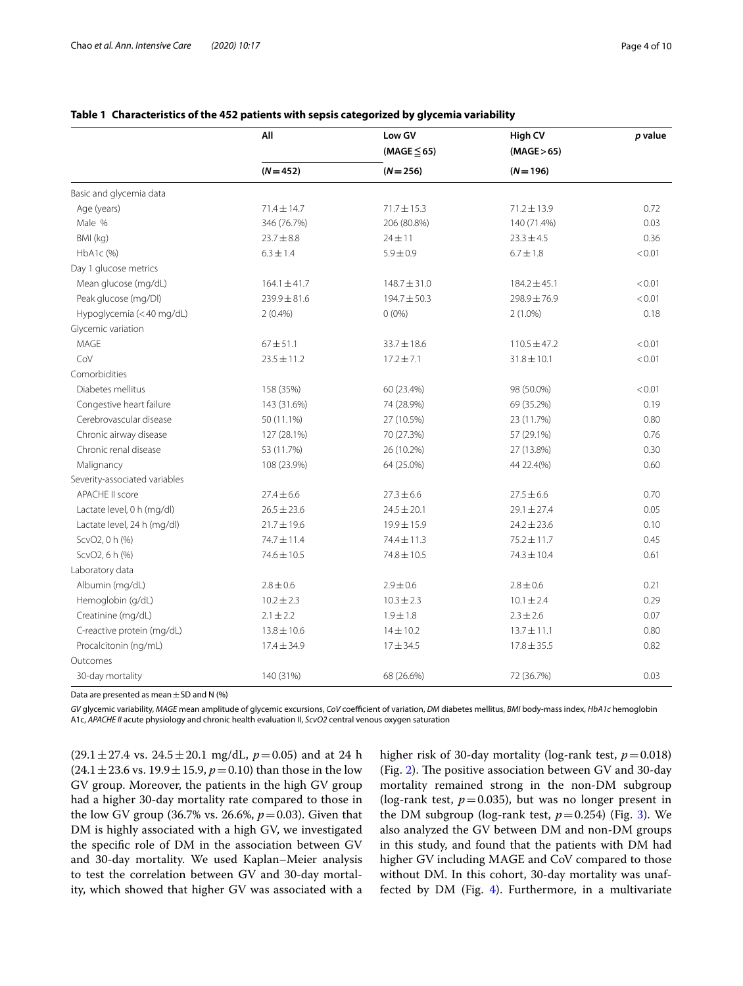|                               | All<br>$(N = 452)$ | Low GV<br>$(MAGE \leq 65)$ | High CV<br>(MAGE > 65) | p value |
|-------------------------------|--------------------|----------------------------|------------------------|---------|
|                               |                    |                            |                        |         |
|                               |                    | $(N = 256)$                | $(N = 196)$            |         |
| Basic and glycemia data       |                    |                            |                        |         |
| Age (years)                   | $71.4 \pm 14.7$    | $71.7 \pm 15.3$            | $71.2 \pm 13.9$        | 0.72    |
| Male %                        | 346 (76.7%)        | 206 (80.8%)                | 140 (71.4%)            | 0.03    |
| BMI (kg)                      | $23.7 \pm 8.8$     | $24 + 11$                  | $23.3 \pm 4.5$         | 0.36    |
| HbA1c (%)                     | $6.3 \pm 1.4$      | $5.9 \pm 0.9$              | $6.7 \pm 1.8$          | < 0.01  |
| Day 1 glucose metrics         |                    |                            |                        |         |
| Mean glucose (mg/dL)          | $164.1 \pm 41.7$   | $148.7 \pm 31.0$           | $184.2 \pm 45.1$       | < 0.01  |
| Peak glucose (mg/Dl)          | $239.9 \pm 81.6$   | 194.7±50.3                 | 298.9±76.9             | < 0.01  |
| Hypoglycemia (<40 mg/dL)      | $2(0.4\%)$         | $0(0\%)$                   | $2(1.0\%)$             | 0.18    |
| Glycemic variation            |                    |                            |                        |         |
| MAGE                          | $67 + 51.1$        | $33.7 \pm 18.6$            | $110.5 \pm 47.2$       | < 0.01  |
| CoV                           | $23.5 \pm 11.2$    | $17.2 \pm 7.1$             | $31.8 \pm 10.1$        | < 0.01  |
| Comorbidities                 |                    |                            |                        |         |
| Diabetes mellitus             | 158 (35%)          | 60 (23.4%)                 | 98 (50.0%)             | < 0.01  |
| Congestive heart failure      | 143 (31.6%)        | 74 (28.9%)                 | 69 (35.2%)             | 0.19    |
| Cerebrovascular disease       | 50 (11.1%)         | 27 (10.5%)                 | 23 (11.7%)             | 0.80    |
| Chronic airway disease        | 127 (28.1%)        | 70 (27.3%)                 | 57 (29.1%)             | 0.76    |
| Chronic renal disease         | 53 (11.7%)         | 26 (10.2%)                 | 27 (13.8%)             | 0.30    |
| Malignancy                    | 108 (23.9%)        | 64 (25.0%)                 | 44 22.4(%)             | 0.60    |
| Severity-associated variables |                    |                            |                        |         |
| APACHE II score               | $27.4 \pm 6.6$     | $27.3 \pm 6.6$             | $27.5 \pm 6.6$         | 0.70    |
| Lactate level, 0 h (mg/dl)    | $26.5 \pm 23.6$    | $24.5 \pm 20.1$            | $29.1 \pm 27.4$        | 0.05    |
| Lactate level, 24 h (mg/dl)   | $21.7 \pm 19.6$    | 19.9 ± 15.9                | $24.2 \pm 23.6$        | 0.10    |
| ScvO2, 0 h (%)                | 74.7±11.4          | 74.4 ± 11.3                | $75.2 \pm 11.7$        | 0.45    |
| ScvO2, 6 h (%)                | 74.6 ± 10.5        | $74.8 \pm 10.5$            | $74.3 \pm 10.4$        | 0.61    |
| Laboratory data               |                    |                            |                        |         |
| Albumin (mg/dL)               | $2.8 \pm 0.6$      | $2.9 \pm 0.6$              | $2.8 \pm 0.6$          | 0.21    |
| Hemoglobin (g/dL)             | $10.2 \pm 2.3$     | $10.3 \pm 2.3$             | $10.1 \pm 2.4$         | 0.29    |
| Creatinine (mg/dL)            | $2.1 \pm 2.2$      | $1.9 \pm 1.8$              | $2.3 \pm 2.6$          | 0.07    |
| C-reactive protein (mg/dL)    | $13.8 \pm 10.6$    | $14 \pm 10.2$              | $13.7 \pm 11.1$        | 0.80    |
| Procalcitonin (ng/mL)         | $17.4 \pm 34.9$    | $17 + 34.5$                | $17.8 \pm 35.5$        | 0.82    |
| Outcomes                      |                    |                            |                        |         |
| 30-day mortality              | 140 (31%)          | 68 (26.6%)                 | 72 (36.7%)             | 0.03    |

#### <span id="page-3-0"></span>**Table 1 Characteristics of the 452 patients with sepsis categorized by glycemia variability**

Data are presented as mean  $\pm$  SD and N (%)

*GV* glycemic variability, *MAGE* mean amplitude of glycemic excursions, *CoV* coefcient of variation, *DM* diabetes mellitus, *BMI* body-mass index, *HbA1c* hemoglobin A1c, *APACHE II* acute physiology and chronic health evaluation II, *ScvO2* central venous oxygen saturation

 $(29.1 \pm 27.4 \text{ vs. } 24.5 \pm 20.1 \text{ mg/dL}, p=0.05)$  and at 24 h  $(24.1 \pm 23.6 \text{ vs. } 19.9 \pm 15.9, p=0.10)$  than those in the low GV group. Moreover, the patients in the high GV group had a higher 30-day mortality rate compared to those in the low GV group (36.7% vs. 26.6%, *p*=0.03). Given that DM is highly associated with a high GV, we investigated the specifc role of DM in the association between GV and 30-day mortality. We used Kaplan–Meier analysis to test the correlation between GV and 30-day mortality, which showed that higher GV was associated with a

higher risk of 30-day mortality (log-rank test,  $p = 0.018$ ) (Fig. [2](#page-4-0)). The positive association between GV and 30-day mortality remained strong in the non-DM subgroup (log-rank test,  $p=0.035$ ), but was no longer present in the DM subgroup (log-rank test,  $p=0.254$ ) (Fig. [3\)](#page-4-1). We also analyzed the GV between DM and non-DM groups in this study, and found that the patients with DM had higher GV including MAGE and CoV compared to those without DM. In this cohort, 30-day mortality was unaffected by DM (Fig. [4\)](#page-5-0). Furthermore, in a multivariate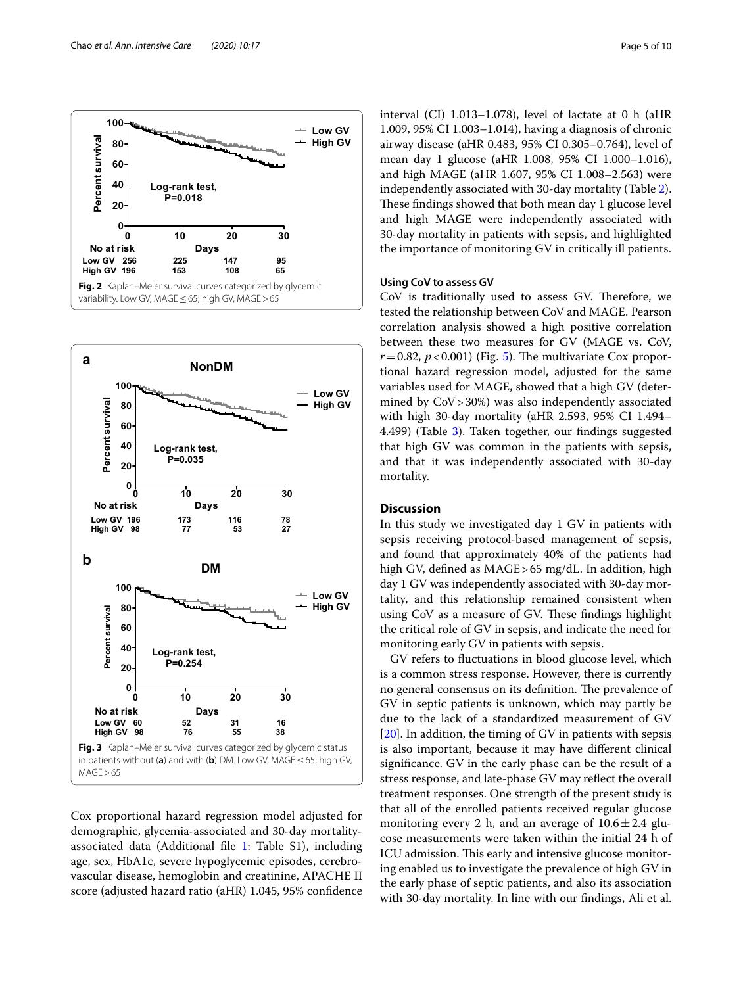

<span id="page-4-0"></span>

<span id="page-4-1"></span>Cox proportional hazard regression model adjusted for demographic, glycemia-associated and 30-day mortalityassociated data (Additional file  $1:$  Table S1), including age, sex, HbA1c, severe hypoglycemic episodes, cerebrovascular disease, hemoglobin and creatinine, APACHE II score (adjusted hazard ratio (aHR) 1.045, 95% confdence interval (CI) 1.013–1.078), level of lactate at 0 h (aHR 1.009, 95% CI 1.003–1.014), having a diagnosis of chronic airway disease (aHR 0.483, 95% CI 0.305–0.764), level of mean day 1 glucose (aHR 1.008, 95% CI 1.000–1.016), and high MAGE (aHR 1.607, 95% CI 1.008–2.563) were independently associated with 30-day mortality (Table [2](#page-6-0)). These findings showed that both mean day 1 glucose level and high MAGE were independently associated with 30-day mortality in patients with sepsis, and highlighted the importance of monitoring GV in critically ill patients.

#### **Using CoV to assess GV**

CoV is traditionally used to assess GV. Therefore, we tested the relationship between CoV and MAGE. Pearson correlation analysis showed a high positive correlation between these two measures for GV (MAGE vs. CoV,  $r=0.82$ ,  $p<0.001$ ) (Fig. [5\)](#page-6-1). The multivariate Cox proportional hazard regression model, adjusted for the same variables used for MAGE, showed that a high GV (determined by CoV>30%) was also independently associated with high 30-day mortality (aHR 2.593, 95% CI 1.494– 4.499) (Table [3](#page-7-0)). Taken together, our findings suggested that high GV was common in the patients with sepsis, and that it was independently associated with 30-day mortality.

#### **Discussion**

In this study we investigated day 1 GV in patients with sepsis receiving protocol-based management of sepsis, and found that approximately 40% of the patients had high GV, defned as MAGE>65 mg/dL. In addition, high day 1 GV was independently associated with 30-day mortality, and this relationship remained consistent when using CoV as a measure of GV. These findings highlight the critical role of GV in sepsis, and indicate the need for monitoring early GV in patients with sepsis.

GV refers to fuctuations in blood glucose level, which is a common stress response. However, there is currently no general consensus on its definition. The prevalence of GV in septic patients is unknown, which may partly be due to the lack of a standardized measurement of GV [[20\]](#page-8-19). In addition, the timing of GV in patients with sepsis is also important, because it may have diferent clinical signifcance. GV in the early phase can be the result of a stress response, and late-phase GV may refect the overall treatment responses. One strength of the present study is that all of the enrolled patients received regular glucose monitoring every 2 h, and an average of  $10.6 \pm 2.4$  glucose measurements were taken within the initial 24 h of ICU admission. This early and intensive glucose monitoring enabled us to investigate the prevalence of high GV in the early phase of septic patients, and also its association with 30-day mortality. In line with our fndings, Ali et al.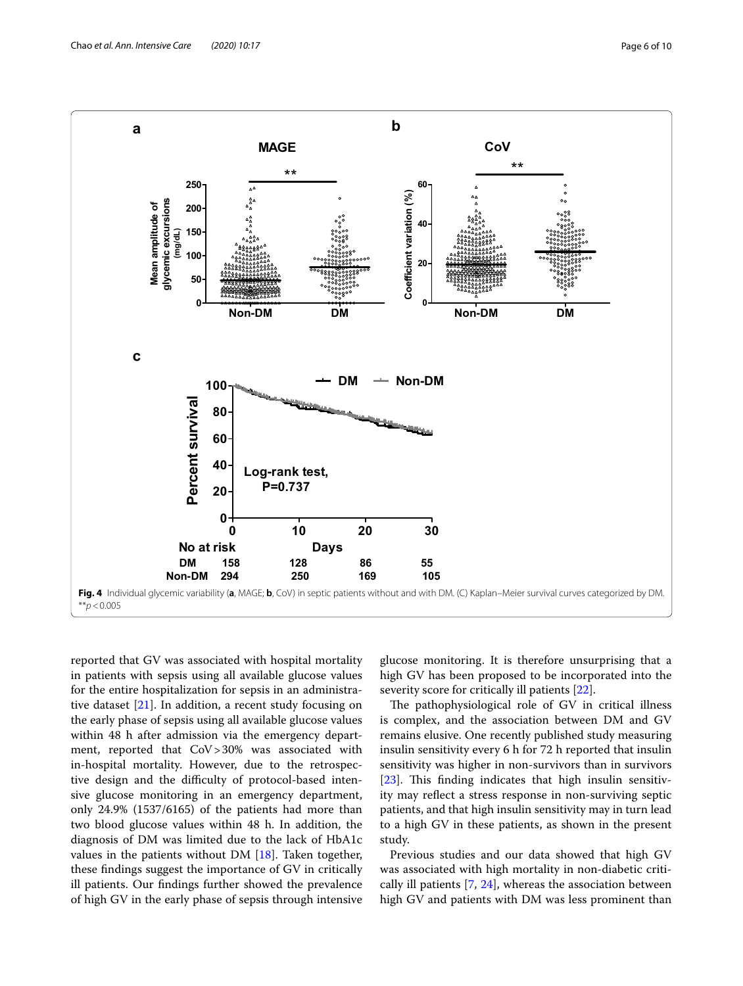

<span id="page-5-0"></span>reported that GV was associated with hospital mortality in patients with sepsis using all available glucose values for the entire hospitalization for sepsis in an administrative dataset [\[21](#page-8-20)]. In addition, a recent study focusing on the early phase of sepsis using all available glucose values within 48 h after admission via the emergency department, reported that CoV>30% was associated with in-hospital mortality. However, due to the retrospective design and the difficulty of protocol-based intensive glucose monitoring in an emergency department, only 24.9% (1537/6165) of the patients had more than two blood glucose values within 48 h. In addition, the diagnosis of DM was limited due to the lack of HbA1c values in the patients without DM [[18\]](#page-8-16). Taken together, these fndings suggest the importance of GV in critically ill patients. Our fndings further showed the prevalence of high GV in the early phase of sepsis through intensive

glucose monitoring. It is therefore unsurprising that a high GV has been proposed to be incorporated into the severity score for critically ill patients [\[22](#page-8-21)].

The pathophysiological role of  $GV$  in critical illness is complex, and the association between DM and GV remains elusive. One recently published study measuring insulin sensitivity every 6 h for 72 h reported that insulin sensitivity was higher in non-survivors than in survivors [[23\]](#page-8-22). This finding indicates that high insulin sensitivity may refect a stress response in non-surviving septic patients, and that high insulin sensitivity may in turn lead to a high GV in these patients, as shown in the present study.

Previous studies and our data showed that high GV was associated with high mortality in non-diabetic critically ill patients [\[7](#page-8-6), [24](#page-9-0)], whereas the association between high GV and patients with DM was less prominent than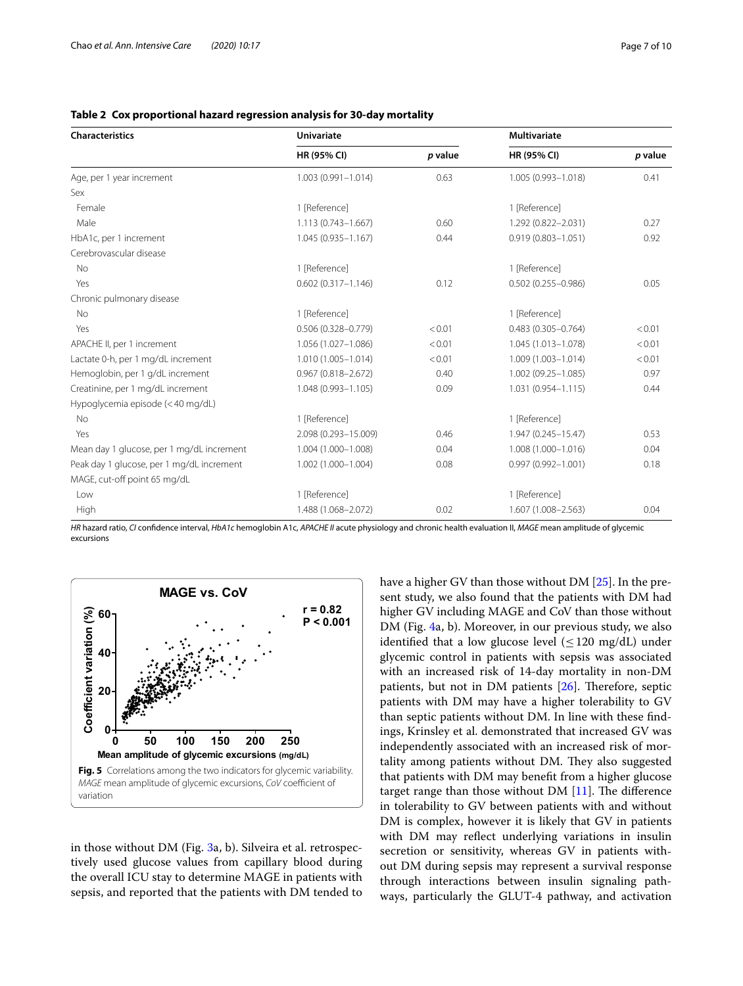| <b>Characteristics</b>                    | <b>Univariate</b>      |         | <b>Multivariate</b>    |         |
|-------------------------------------------|------------------------|---------|------------------------|---------|
|                                           | HR (95% CI)            | p value | HR (95% CI)            | p value |
| Age, per 1 year increment                 | $1.003(0.991 - 1.014)$ | 0.63    | 1.005 (0.993-1.018)    | 0.41    |
| Sex                                       |                        |         |                        |         |
| Female                                    | 1 [Reference]          |         | 1 [Reference]          |         |
| Male                                      | $1.113(0.743 - 1.667)$ | 0.60    | 1.292 (0.822-2.031)    | 0.27    |
| HbA1c, per 1 increment                    | $1.045(0.935 - 1.167)$ | 0.44    | $0.919(0.803 - 1.051)$ | 0.92    |
| Cerebrovascular disease                   |                        |         |                        |         |
| No                                        | 1 [Reference]          |         | 1 [Reference]          |         |
| Yes                                       | $0.602(0.317 - 1.146)$ | 0.12    | $0.502(0.255 - 0.986)$ | 0.05    |
| Chronic pulmonary disease                 |                        |         |                        |         |
| <b>No</b>                                 | 1 [Reference]          |         | 1 [Reference]          |         |
| Yes                                       | $0.506(0.328 - 0.779)$ | < 0.01  | $0.483(0.305 - 0.764)$ | < 0.01  |
| APACHE II, per 1 increment                | 1.056 (1.027-1.086)    | < 0.01  | 1.045 (1.013-1.078)    | < 0.01  |
| Lactate 0-h, per 1 mg/dL increment        | $1.010(1.005 - 1.014)$ | < 0.01  | 1.009 (1.003-1.014)    | < 0.01  |
| Hemoglobin, per 1 g/dL increment          | $0.967(0.818 - 2.672)$ | 0.40    | 1.002 (09.25-1.085)    | 0.97    |
| Creatinine, per 1 mg/dL increment         | 1.048 (0.993-1.105)    | 0.09    | 1.031 (0.954-1.115)    | 0.44    |
| Hypoglycemia episode (<40 mg/dL)          |                        |         |                        |         |
| <b>No</b>                                 | 1 [Reference]          |         | 1 [Reference]          |         |
| Yes                                       | 2.098 (0.293-15.009)   | 0.46    | 1.947 (0.245-15.47)    | 0.53    |
| Mean day 1 glucose, per 1 mg/dL increment | 1.004 (1.000-1.008)    | 0.04    | 1.008 (1.000-1.016)    | 0.04    |
| Peak day 1 glucose, per 1 mg/dL increment | 1.002 (1.000-1.004)    | 0.08    | $0.997(0.992 - 1.001)$ | 0.18    |
| MAGE, cut-off point 65 mg/dL              |                        |         |                        |         |
| Low                                       | 1 [Reference]          |         | 1 [Reference]          |         |
| High                                      | 1.488 (1.068-2.072)    | 0.02    | 1.607 (1.008-2.563)    | 0.04    |

### <span id="page-6-0"></span>**Table 2 Cox proportional hazard regression analysis for 30-day mortality**

*HR* hazard ratio, *CI* confdence interval, *HbA1c* hemoglobin A1c, *APACHE II* acute physiology and chronic health evaluation II, *MAGE* mean amplitude of glycemic **excursions** 



<span id="page-6-1"></span>in those without DM (Fig. [3](#page-4-1)a, b). Silveira et al. retrospectively used glucose values from capillary blood during the overall ICU stay to determine MAGE in patients with sepsis, and reported that the patients with DM tended to have a higher GV than those without DM [[25\]](#page-9-1). In the present study, we also found that the patients with DM had higher GV including MAGE and CoV than those without DM (Fig. [4](#page-5-0)a, b). Moreover, in our previous study, we also identified that a low glucose level  $(\leq 120 \text{ mg/dL})$  under glycemic control in patients with sepsis was associated with an increased risk of 14-day mortality in non-DM patients, but not in DM patients  $[26]$  $[26]$ . Therefore, septic patients with DM may have a higher tolerability to GV than septic patients without DM. In line with these fndings, Krinsley et al. demonstrated that increased GV was independently associated with an increased risk of mortality among patients without DM. They also suggested that patients with DM may beneft from a higher glucose target range than those without DM  $[11]$  $[11]$  $[11]$ . The difference in tolerability to GV between patients with and without DM is complex, however it is likely that GV in patients with DM may refect underlying variations in insulin secretion or sensitivity, whereas GV in patients without DM during sepsis may represent a survival response through interactions between insulin signaling pathways, particularly the GLUT-4 pathway, and activation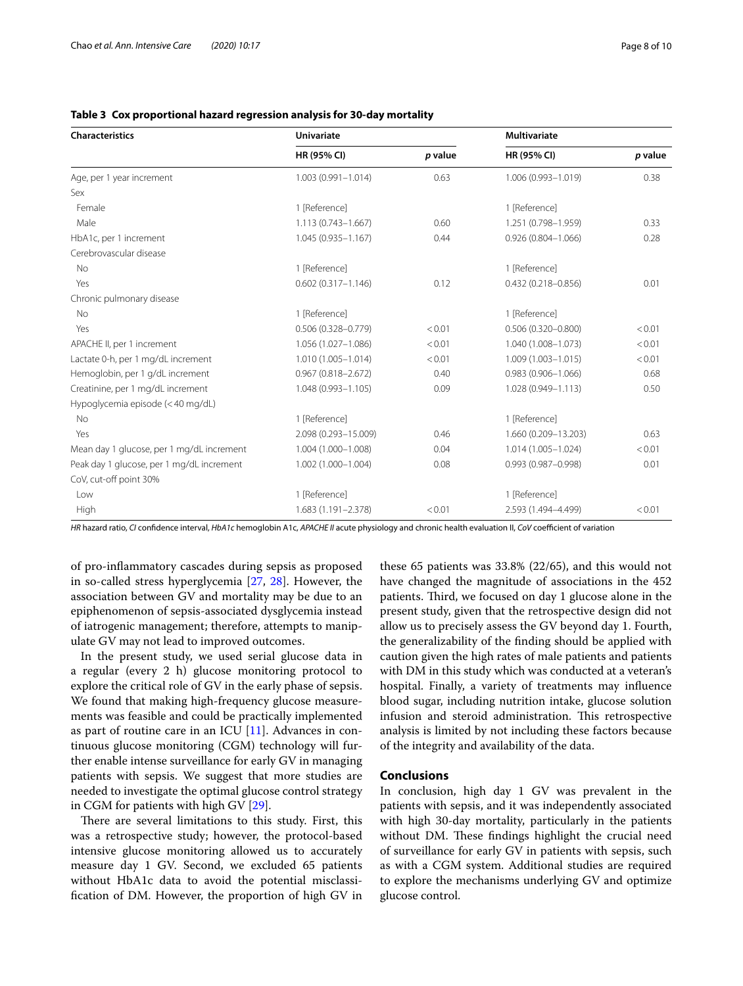| <b>Characteristics</b>                    | <b>Univariate</b>      |         | <b>Multivariate</b>    |         |
|-------------------------------------------|------------------------|---------|------------------------|---------|
|                                           | HR (95% CI)            | p value | HR (95% CI)            | p value |
| Age, per 1 year increment                 | $1.003(0.991 - 1.014)$ | 0.63    | 1.006 (0.993-1.019)    | 0.38    |
| Sex                                       |                        |         |                        |         |
| Female                                    | 1 [Reference]          |         | 1 [Reference]          |         |
| Male                                      | 1.113 (0.743-1.667)    | 0.60    | 1.251 (0.798-1.959)    | 0.33    |
| HbA1c, per 1 increment                    | $1.045(0.935 - 1.167)$ | 0.44    | $0.926(0.804 - 1.066)$ | 0.28    |
| Cerebrovascular disease                   |                        |         |                        |         |
| <b>No</b>                                 | 1 [Reference]          |         | 1 [Reference]          |         |
| Yes                                       | $0.602(0.317 - 1.146)$ | 0.12    | 0.432 (0.218-0.856)    | 0.01    |
| Chronic pulmonary disease                 |                        |         |                        |         |
| No                                        | 1 [Reference]          |         | 1 [Reference]          |         |
| Yes                                       | $0.506(0.328 - 0.779)$ | < 0.01  | $0.506(0.320 - 0.800)$ | < 0.01  |
| APACHE II, per 1 increment                | 1.056 (1.027-1.086)    | < 0.01  | 1.040 (1.008-1.073)    | < 0.01  |
| Lactate 0-h, per 1 mg/dL increment        | 1.010 (1.005-1.014)    | < 0.01  | 1.009 (1.003-1.015)    | < 0.01  |
| Hemoglobin, per 1 g/dL increment          | $0.967(0.818 - 2.672)$ | 0.40    | $0.983(0.906 - 1.066)$ | 0.68    |
| Creatinine, per 1 mg/dL increment         | 1.048 (0.993-1.105)    | 0.09    | 1.028 (0.949-1.113)    | 0.50    |
| Hypoglycemia episode (<40 mg/dL)          |                        |         |                        |         |
| No                                        | 1 [Reference]          |         | 1 [Reference]          |         |
| Yes                                       | 2.098 (0.293-15.009)   | 0.46    | 1.660 (0.209-13.203)   | 0.63    |
| Mean day 1 glucose, per 1 mg/dL increment | 1.004 (1.000-1.008)    | 0.04    | 1.014 (1.005-1.024)    | < 0.01  |
| Peak day 1 glucose, per 1 mg/dL increment | 1.002 (1.000-1.004)    | 0.08    | $0.993(0.987 - 0.998)$ | 0.01    |
| CoV, cut-off point 30%                    |                        |         |                        |         |
| Low                                       | 1 [Reference]          |         | 1 [Reference]          |         |
| High                                      | 1.683 (1.191-2.378)    | < 0.01  | 2.593 (1.494-4.499)    | < 0.01  |

#### <span id="page-7-0"></span>**Table 3 Cox proportional hazard regression analysis for 30-day mortality**

*HR* hazard ratio, *CI* confdence interval, *HbA1c* hemoglobin A1c, *APACHE II* acute physiology and chronic health evaluation II, *CoV* coefcient of variation

of pro-infammatory cascades during sepsis as proposed in so-called stress hyperglycemia [\[27,](#page-9-3) [28](#page-9-4)]. However, the association between GV and mortality may be due to an epiphenomenon of sepsis-associated dysglycemia instead of iatrogenic management; therefore, attempts to manipulate GV may not lead to improved outcomes.

In the present study, we used serial glucose data in a regular (every 2 h) glucose monitoring protocol to explore the critical role of GV in the early phase of sepsis. We found that making high-frequency glucose measurements was feasible and could be practically implemented as part of routine care in an ICU  $[11]$ . Advances in continuous glucose monitoring (CGM) technology will further enable intense surveillance for early GV in managing patients with sepsis. We suggest that more studies are needed to investigate the optimal glucose control strategy in CGM for patients with high GV [\[29](#page-9-5)].

There are several limitations to this study. First, this was a retrospective study; however, the protocol-based intensive glucose monitoring allowed us to accurately measure day 1 GV. Second, we excluded 65 patients without HbA1c data to avoid the potential misclassifcation of DM. However, the proportion of high GV in

these 65 patients was 33.8% (22/65), and this would not have changed the magnitude of associations in the 452 patients. Third, we focused on day 1 glucose alone in the present study, given that the retrospective design did not allow us to precisely assess the GV beyond day 1. Fourth, the generalizability of the fnding should be applied with caution given the high rates of male patients and patients with DM in this study which was conducted at a veteran's hospital. Finally, a variety of treatments may infuence blood sugar, including nutrition intake, glucose solution infusion and steroid administration. This retrospective analysis is limited by not including these factors because of the integrity and availability of the data.

#### **Conclusions**

In conclusion, high day 1 GV was prevalent in the patients with sepsis, and it was independently associated with high 30-day mortality, particularly in the patients without DM. These findings highlight the crucial need of surveillance for early GV in patients with sepsis, such as with a CGM system. Additional studies are required to explore the mechanisms underlying GV and optimize glucose control.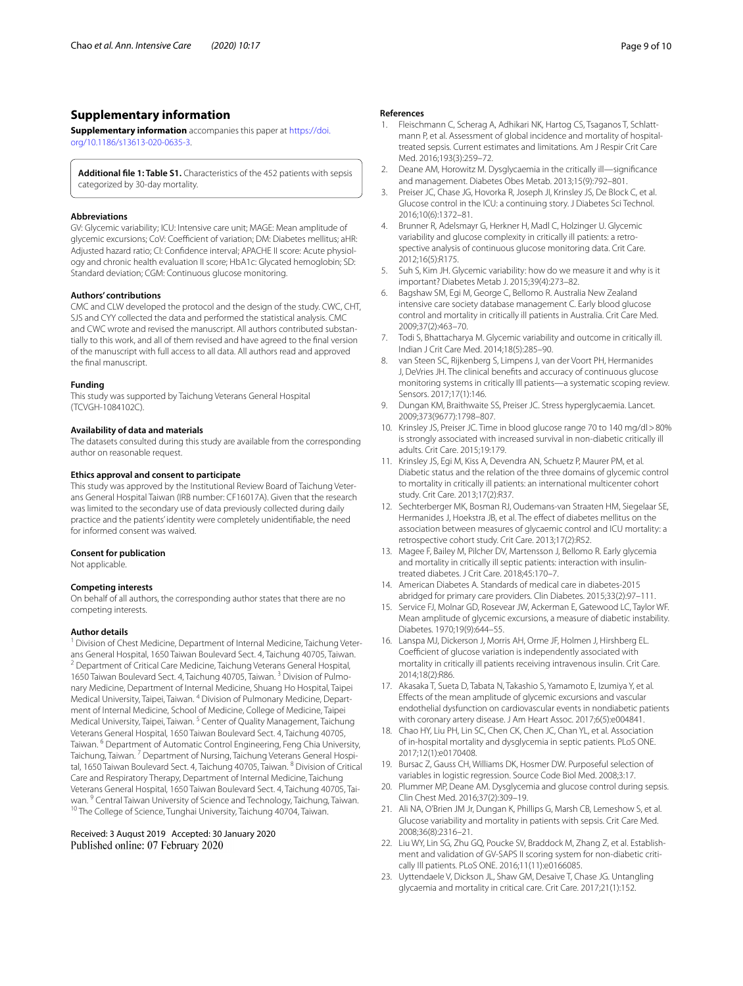#### **Supplementary information**

**Supplementary information** accompanies this paper at [https://doi.](https://doi.org/10.1186/s13613-020-0635-3) [org/10.1186/s13613-020-0635-3.](https://doi.org/10.1186/s13613-020-0635-3)

<span id="page-8-18"></span>**Additional fle 1: Table S1.** Characteristics of the 452 patients with sepsis categorized by 30-day mortality.

#### **Abbreviations**

GV: Glycemic variability; ICU: Intensive care unit; MAGE: Mean amplitude of glycemic excursions; CoV: Coefficient of variation; DM: Diabetes mellitus; aHR: Adjusted hazard ratio; CI: Confdence interval; APACHE II score: Acute physiol‑ ogy and chronic health evaluation II score; HbA1c: Glycated hemoglobin; SD: Standard deviation; CGM: Continuous glucose monitoring.

#### **Authors' contributions**

CMC and CLW developed the protocol and the design of the study. CWC, CHT, SJS and CYY collected the data and performed the statistical analysis. CMC and CWC wrote and revised the manuscript. All authors contributed substantially to this work, and all of them revised and have agreed to the fnal version of the manuscript with full access to all data. All authors read and approved the fnal manuscript.

#### **Funding**

This study was supported by Taichung Veterans General Hospital (TCVGH-1084102C).

#### **Availability of data and materials**

The datasets consulted during this study are available from the corresponding author on reasonable request.

#### **Ethics approval and consent to participate**

This study was approved by the Institutional Review Board of Taichung Veterans General Hospital Taiwan (IRB number: CF16017A). Given that the research was limited to the secondary use of data previously collected during daily practice and the patients' identity were completely unidentifable, the need for informed consent was waived.

#### **Consent for publication**

Not applicable.

#### **Competing interests**

On behalf of all authors, the corresponding author states that there are no competing interests.

#### **Author details**

<sup>1</sup> Division of Chest Medicine, Department of Internal Medicine, Taichung Veterans General Hospital, 1650 Taiwan Boulevard Sect. 4, Taichung 40705, Taiwan. <sup>2</sup> Department of Critical Care Medicine, Taichung Veterans General Hospital, 1650 Taiwan Boulevard Sect. 4, Taichung 40705, Taiwan.<sup>3</sup> Division of Pulmonary Medicine, Department of Internal Medicine, Shuang Ho Hospital, Taipei Medical University, Taipei, Taiwan. <sup>4</sup> Division of Pulmonary Medicine, Department of Internal Medicine, School of Medicine, College of Medicine, Taipei Medical University, Taipei, Taiwan. 5 Center of Quality Management, Taichung Veterans General Hospital, 1650 Taiwan Boulevard Sect. 4, Taichung 40705, Taiwan.<sup>6</sup> Department of Automatic Control Engineering, Feng Chia University, Taichung, Taiwan. <sup>7</sup> Department of Nursing, Taichung Veterans General Hospital, 1650 Taiwan Boulevard Sect. 4, Taichung 40705, Taiwan. <sup>8</sup> Division of Critical Care and Respiratory Therapy, Department of Internal Medicine, Taichung Veterans General Hospital, 1650 Taiwan Boulevard Sect. 4, Taichung 40705, Tai‑ wan. <sup>9</sup> Central Taiwan University of Science and Technology, Taichung, Taiwan.<br><sup>10</sup> The College of Science, Tunghai University, Taichung 40704, Taiwan.

Received: 3 August 2019 Accepted: 30 January 2020 Published online: 07 February 2020

#### **References**

- <span id="page-8-0"></span>Fleischmann C, Scherag A, Adhikari NK, Hartog CS, Tsaganos T, Schlattmann P, et al. Assessment of global incidence and mortality of hospitaltreated sepsis. Current estimates and limitations. Am J Respir Crit Care Med. 2016;193(3):259–72.
- <span id="page-8-1"></span>2. Deane AM, Horowitz M. Dysglycaemia in the critically ill—signifcance and management. Diabetes Obes Metab. 2013;15(9):792–801.
- <span id="page-8-2"></span>3. Preiser JC, Chase JG, Hovorka R, Joseph JI, Krinsley JS, De Block C, et al. Glucose control in the ICU: a continuing story. J Diabetes Sci Technol. 2016;10(6):1372–81.
- <span id="page-8-3"></span>4. Brunner R, Adelsmayr G, Herkner H, Madl C, Holzinger U. Glycemic variability and glucose complexity in critically ill patients: a retrospective analysis of continuous glucose monitoring data. Crit Care. 2012;16(5):R175.
- <span id="page-8-4"></span>5. Suh S, Kim JH. Glycemic variability: how do we measure it and why is it important? Diabetes Metab J. 2015;39(4):273–82.
- <span id="page-8-5"></span>6. Bagshaw SM, Egi M, George C, Bellomo R. Australia New Zealand intensive care society database management C. Early blood glucose control and mortality in critically ill patients in Australia. Crit Care Med. 2009;37(2):463–70.
- <span id="page-8-6"></span>7. Todi S, Bhattacharya M. Glycemic variability and outcome in critically ill. Indian J Crit Care Med. 2014;18(5):285–90.
- <span id="page-8-7"></span>8. van Steen SC, Rijkenberg S, Limpens J, van der Voort PH, Hermanides J, DeVries JH. The clinical benefts and accuracy of continuous glucose monitoring systems in critically Ill patients—a systematic scoping review. Sensors. 2017;17(1):146.
- <span id="page-8-8"></span>9. Dungan KM, Braithwaite SS, Preiser JC. Stress hyperglycaemia. Lancet. 2009;373(9677):1798–807.
- <span id="page-8-9"></span>10. Krinsley JS, Preiser JC. Time in blood glucose range 70 to 140 mg/dl>80% is strongly associated with increased survival in non-diabetic critically ill adults. Crit Care. 2015;19:179.
- <span id="page-8-10"></span>11. Krinsley JS, Egi M, Kiss A, Devendra AN, Schuetz P, Maurer PM, et al. Diabetic status and the relation of the three domains of glycemic control to mortality in critically ill patients: an international multicenter cohort study. Crit Care. 2013;17(2):R37.
- 12. Sechterberger MK, Bosman RJ, Oudemans-van Straaten HM, Siegelaar SE, Hermanides J, Hoekstra JB, et al. The effect of diabetes mellitus on the association between measures of glycaemic control and ICU mortality: a retrospective cohort study. Crit Care. 2013;17(2):R52.
- <span id="page-8-11"></span>13. Magee F, Bailey M, Pilcher DV, Martensson J, Bellomo R. Early glycemia and mortality in critically ill septic patients: interaction with insulintreated diabetes. J Crit Care. 2018;45:170–7.
- <span id="page-8-12"></span>14. American Diabetes A. Standards of medical care in diabetes-2015 abridged for primary care providers. Clin Diabetes. 2015;33(2):97–111.
- <span id="page-8-13"></span>15. Service FJ, Molnar GD, Rosevear JW, Ackerman E, Gatewood LC, Taylor WF. Mean amplitude of glycemic excursions, a measure of diabetic instability. Diabetes. 1970;19(9):644–55.
- <span id="page-8-14"></span>16. Lanspa MJ, Dickerson J, Morris AH, Orme JF, Holmen J, Hirshberg EL. Coefficient of glucose variation is independently associated with mortality in critically ill patients receiving intravenous insulin. Crit Care. 2014;18(2):R86.
- <span id="page-8-15"></span>17. Akasaka T, Sueta D, Tabata N, Takashio S, Yamamoto E, Izumiya Y, et al. Efects of the mean amplitude of glycemic excursions and vascular endothelial dysfunction on cardiovascular events in nondiabetic patients with coronary artery disease. J Am Heart Assoc. 2017;6(5):e004841.
- <span id="page-8-16"></span>18. Chao HY, Liu PH, Lin SC, Chen CK, Chen JC, Chan YL, et al. Association of in-hospital mortality and dysglycemia in septic patients. PLoS ONE. 2017;12(1):e0170408.
- <span id="page-8-17"></span>19. Bursac Z, Gauss CH, Williams DK, Hosmer DW. Purposeful selection of variables in logistic regression. Source Code Biol Med. 2008;3:17.
- <span id="page-8-19"></span>20. Plummer MP, Deane AM. Dysglycemia and glucose control during sepsis. Clin Chest Med. 2016;37(2):309–19.
- <span id="page-8-20"></span>21. Ali NA, O'Brien JM Jr, Dungan K, Phillips G, Marsh CB, Lemeshow S, et al. Glucose variability and mortality in patients with sepsis. Crit Care Med. 2008;36(8):2316–21.
- <span id="page-8-21"></span>22. Liu WY, Lin SG, Zhu GQ, Poucke SV, Braddock M, Zhang Z, et al. Establishment and validation of GV-SAPS II scoring system for non-diabetic critically Ill patients. PLoS ONE. 2016;11(11):e0166085.
- <span id="page-8-22"></span>23. Uyttendaele V, Dickson JL, Shaw GM, Desaive T, Chase JG. Untangling glycaemia and mortality in critical care. Crit Care. 2017;21(1):152.